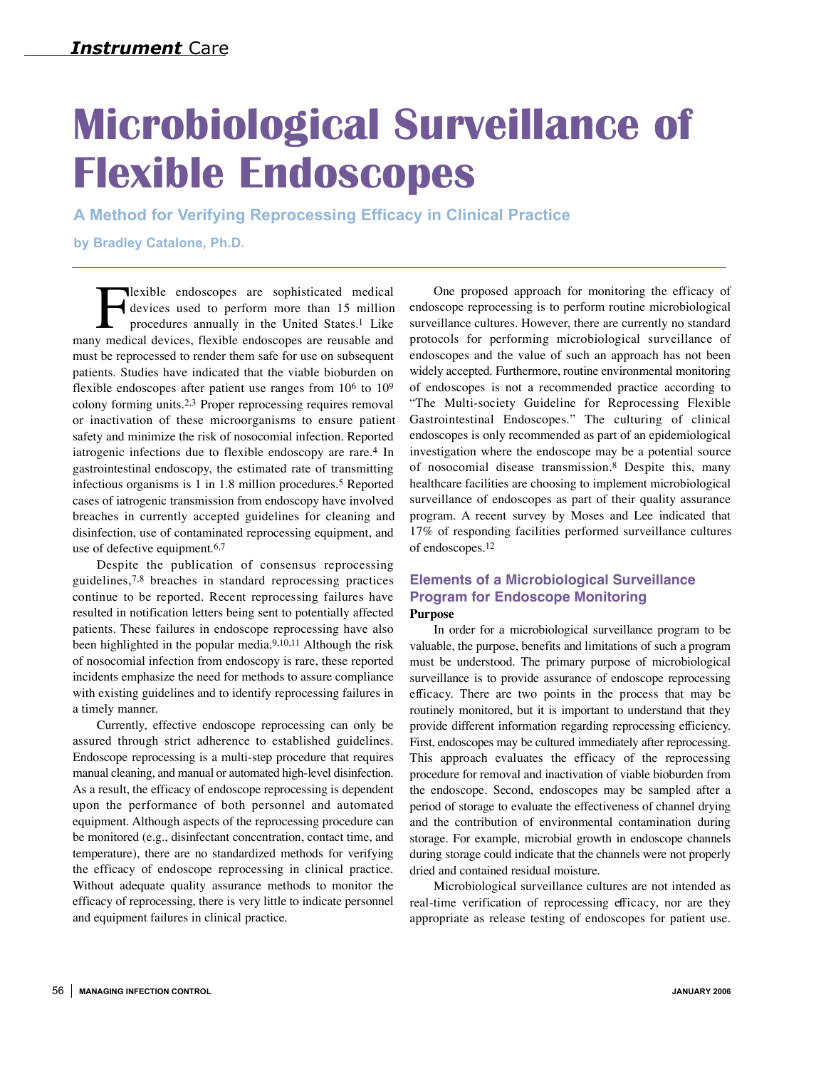# **Microbiological Surveillance of Flexible Endoscopes**

**A Method for Verifying Reprocessing Efficacy in Clinical Practice**

**by Bradley Catalone, Ph.D.**

**Flexible endoscopes are sophisticated medical devices used to perform more than 15 million procedures annually in the United States.<sup>1</sup> Like v medical devices. flexible endoscopes are reusable and** devices used to perform more than 15 million procedures annually in the United States.1 Like many medical devices, flexible endoscopes are reusable and must be reprocessed to render them safe for use on subsequent patients. Studies have indicated that the viable bioburden on flexible endoscopes after patient use ranges from 106 to 109 colony forming units.2,3 Proper reprocessing requires removal or inactivation of these microorganisms to ensure patient safety and minimize the risk of nosocomial infection. Reported iatrogenic infections due to flexible endoscopy are rare.<sup>4</sup> In gastrointestinal endoscopy, the estimated rate of transmitting infectious organisms is 1 in 1.8 million procedures.5 Reported cases of iatrogenic transmission from endoscopy have involved breaches in currently accepted guidelines for cleaning and disinfection, use of contaminated reprocessing equipment, and use of defective equipment.6,7

Despite the publication of consensus reprocessing guidelines, $7,8$  breaches in standard reprocessing practices continue to be reported. Recent reprocessing failures have resulted in notification letters being sent to potentially affected patients. These failures in endoscope reprocessing have also been highlighted in the popular media.9,10,11 Although the risk of nosocomial infection from endoscopy is rare, these reported incidents emphasize the need for methods to assure compliance with existing guidelines and to identify reprocessing failures in a timely manner.

Currently, effective endoscope reprocessing can only be assured through strict adherence to established guidelines. Endoscope reprocessing is a multi-step procedure that requires manual cleaning, and manual or automated high-level disinfection. As a result, the efficacy of endoscope reprocessing is dependent upon the performance of both personnel and automated equipment. Although aspects of the reprocessing procedure can be monitored (e.g., disinfectant concentration, contact time, and temperature), there are no standardized methods for verifying the efficacy of endoscope reprocessing in clinical practice. Without adequate quality assurance methods to monitor the e fficacy of reprocessing, there is very little to indicate personnel and equipment failures in clinical practice.

One proposed approach for monitoring the efficacy of endoscope reprocessing is to perform routine microbiological surveillance cultures. However, there are currently no standard protocols for performing microbiological surveillance of endoscopes and the value of such an approach has not been widely accepted. Furthermore, routine environmental monitoring of endoscopes is not a recommended practice according to "The Multi-society Guideline for Reprocessing Flexible Gastrointestinal Endoscopes." The culturing of clinical endoscopes is only recommended as part of an epidemiological investigation where the endoscope may be a potential source of nosocomial disease transmission.8 Despite this, many healthcare facilities are choosing to implement microbiological surveillance of endoscopes as part of their quality assurance program. A recent survey by Moses and Lee indicated that 17% of responding facilities performed surveillance cultures of endoscopes.12

### **Elements of a Microbiological Surveillance Program for Endoscope Monitoring Purpose**

In order for a microbiological surveillance program to be valuable, the purpose, benefits and limitations of such a program must be understood. The primary purpose of microbiological surveillance is to provide assurance of endoscope reprocessing efficacy. There are two points in the process that may be routinely monitored, but it is important to understand that they provide different information regarding reprocessing efficiency. First, endoscopes may be cultured immediately after reprocessing. This approach evaluates the efficacy of the reprocessing procedure for removal and inactivation of viable bioburden from the endoscope. Second, endoscopes may be sampled after a period of storage to evaluate the effectiveness of channel drying and the contribution of environmental contamination during storage. For example, microbial growth in endoscope channels during storage could indicate that the channels were not properly dried and contained residual moisture.

Microbiological surveillance cultures are not intended as real-time verification of reprocessing efficacy, nor are they appropriate as release testing of endoscopes for patient use.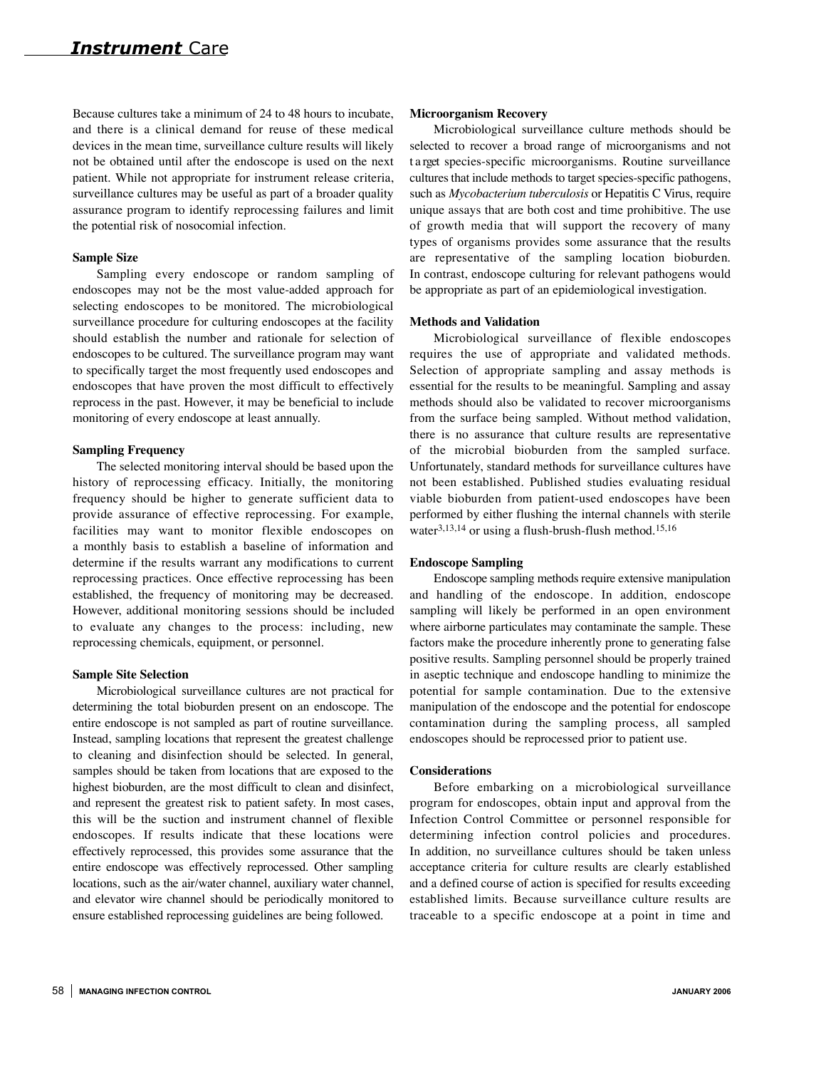Because cultures take a minimum of 24 to 48 hours to incubate, and there is a clinical demand for reuse of these medical devices in the mean time, surveillance culture results will likely not be obtained until after the endoscope is used on the next patient. While not appropriate for instrument release criteria, surveillance cultures may be useful as part of a broader quality assurance program to identify reprocessing failures and limit the potential risk of nosocomial infection.

#### **Sample Size**

Sampling every endoscope or random sampling of endoscopes may not be the most value-added approach for selecting endoscopes to be monitored. The microbiological surveillance procedure for culturing endoscopes at the facility should establish the number and rationale for selection of endoscopes to be cultured. The surveillance program may want to specifically target the most frequently used endoscopes and endoscopes that have proven the most difficult to effectively reprocess in the past. However, it may be beneficial to include monitoring of every endoscope at least annually.

#### **Sampling Frequency**

The selected monitoring interval should be based upon the history of reprocessing efficacy. Initially, the monitoring frequency should be higher to generate sufficient data to provide assurance of effective reprocessing. For example, facilities may want to monitor flexible endoscopes on a monthly basis to establish a baseline of information and determine if the results warrant any modifications to current reprocessing practices. Once effective reprocessing has been established, the frequency of monitoring may be decreased. However, additional monitoring sessions should be included to evaluate any changes to the process: including, new reprocessing chemicals, equipment, or personnel.

#### **Sample Site Selection**

Microbiological surveillance cultures are not practical for determining the total bioburden present on an endoscope. The entire endoscope is not sampled as part of routine surveillance. Instead, sampling locations that represent the greatest challenge to cleaning and disinfection should be selected. In general, samples should be taken from locations that are exposed to the highest bioburden, are the most difficult to clean and disinfect, and represent the greatest risk to patient safety. In most cases, this will be the suction and instrument channel of flexible endoscopes. If results indicate that these locations were e ffectively reprocessed, this provides some assurance that the entire endoscope was effectively reprocessed. Other sampling locations, such as the air/water channel, auxiliary water channel, and elevator wire channel should be periodically monitored to ensure established reprocessing guidelines are being followed.

#### **Microorganism Recovery**

Microbiological surveillance culture methods should be selected to recover a broad range of microorganisms and not t a rget species-specific microorganisms. Routine surveillance cultures that include methods to target species-specific pathogens, such as *Mycobacterium tuberculosis* or Hepatitis C Virus, require unique assays that are both cost and time prohibitive. The use of growth media that will support the recovery of many types of organisms provides some assurance that the results are representative of the sampling location bioburden. In contrast, endoscope culturing for relevant pathogens would be appropriate as part of an epidemiological investigation.

#### **Methods and Validation**

Microbiological surveillance of flexible endoscopes requires the use of appropriate and validated methods. Selection of appropriate sampling and assay methods is essential for the results to be meaningful. Sampling and assay methods should also be validated to recover microorganisms from the surface being sampled. Without method validation, there is no assurance that culture results are representative of the microbial bioburden from the sampled surface. Unfortunately, standard methods for surveillance cultures have not been established. Published studies evaluating residual viable bioburden from patient-used endoscopes have been performed by either flushing the internal channels with sterile water<sup>3,13,14</sup> or using a flush-brush-flush method.<sup>15,16</sup>

#### **Endoscope Sampling**

Endoscope sampling methods require extensive manipulation and handling of the endoscope. In addition, endoscope sampling will likely be performed in an open environment where airborne particulates may contaminate the sample. These factors make the procedure inherently prone to generating false positive results. Sampling personnel should be properly trained in aseptic technique and endoscope handling to minimize the potential for sample contamination. Due to the extensive manipulation of the endoscope and the potential for endoscope contamination during the sampling process, all sampled endoscopes should be reprocessed prior to patient use.

#### **Considerations**

Before embarking on a microbiological surveillance program for endoscopes, obtain input and approval from the Infection Control Committee or personnel responsible for determining infection control policies and procedures. In addition, no surveillance cultures should be taken unless acceptance criteria for culture results are clearly established and a defined course of action is specified for results exceeding established limits. Because surveillance culture results are traceable to a specific endoscope at a point in time and